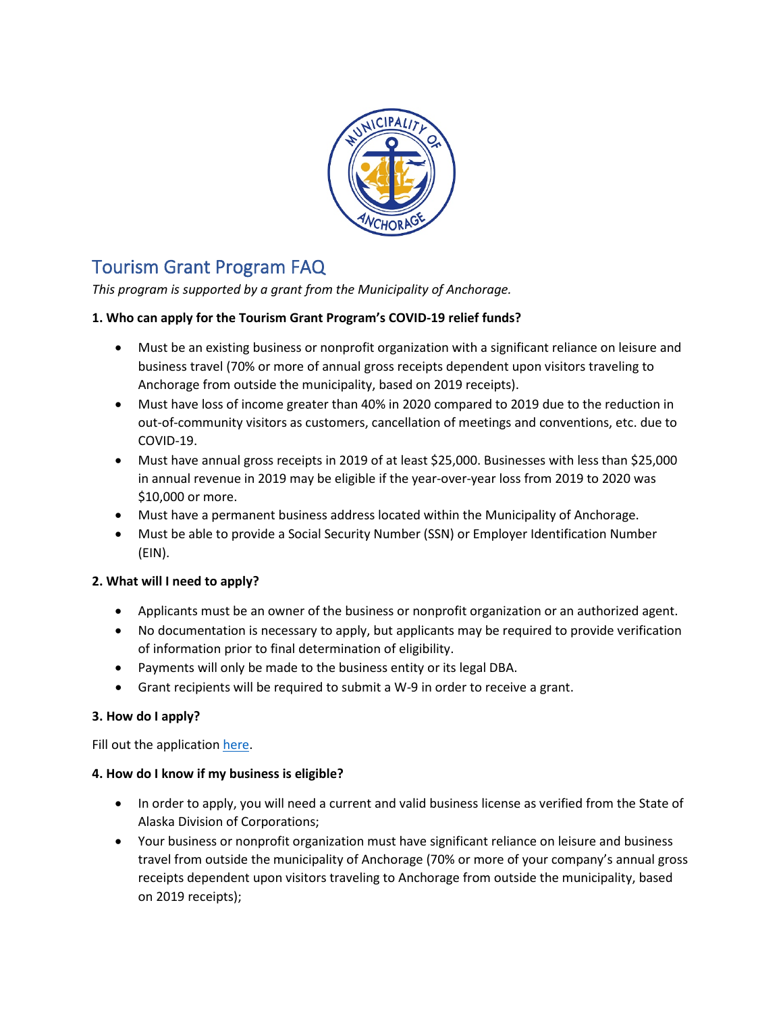

# Tourism Grant Program FAQ

*This program is supported by a grant from the Municipality of Anchorage.*

# **1. Who can apply for the Tourism Grant Program's COVID-19 relief funds?**

- Must be an existing business or nonprofit organization with a significant reliance on leisure and business travel (70% or more of annual gross receipts dependent upon visitors traveling to Anchorage from outside the municipality, based on 2019 receipts).
- Must have loss of income greater than 40% in 2020 compared to 2019 due to the reduction in out-of-community visitors as customers, cancellation of meetings and conventions, etc. due to COVID-19.
- Must have annual gross receipts in 2019 of at least \$25,000. Businesses with less than \$25,000 in annual revenue in 2019 may be eligible if the year-over-year loss from 2019 to 2020 was \$10,000 or more.
- Must have a permanent business address located within the Municipality of Anchorage.
- Must be able to provide a Social Security Number (SSN) or Employer Identification Number (EIN).

# **2. What will I need to apply?**

- Applicants must be an owner of the business or nonprofit organization or an authorized agent.
- No documentation is necessary to apply, but applicants may be required to provide verification of information prior to final determination of eligibility.
- Payments will only be made to the business entity or its legal DBA.
- Grant recipients will be required to submit a W-9 in order to receive a grant.

# **3. How do I apply?**

Fill out the application [here.](https://49thstateangelfund.submittable.com/submit)

# **4. How do I know if my business is eligible?**

- In order to apply, you will need a current and valid business license as verified from the State of Alaska Division of Corporations;
- Your business or nonprofit organization must have significant reliance on leisure and business travel from outside the municipality of Anchorage (70% or more of your company's annual gross receipts dependent upon visitors traveling to Anchorage from outside the municipality, based on 2019 receipts);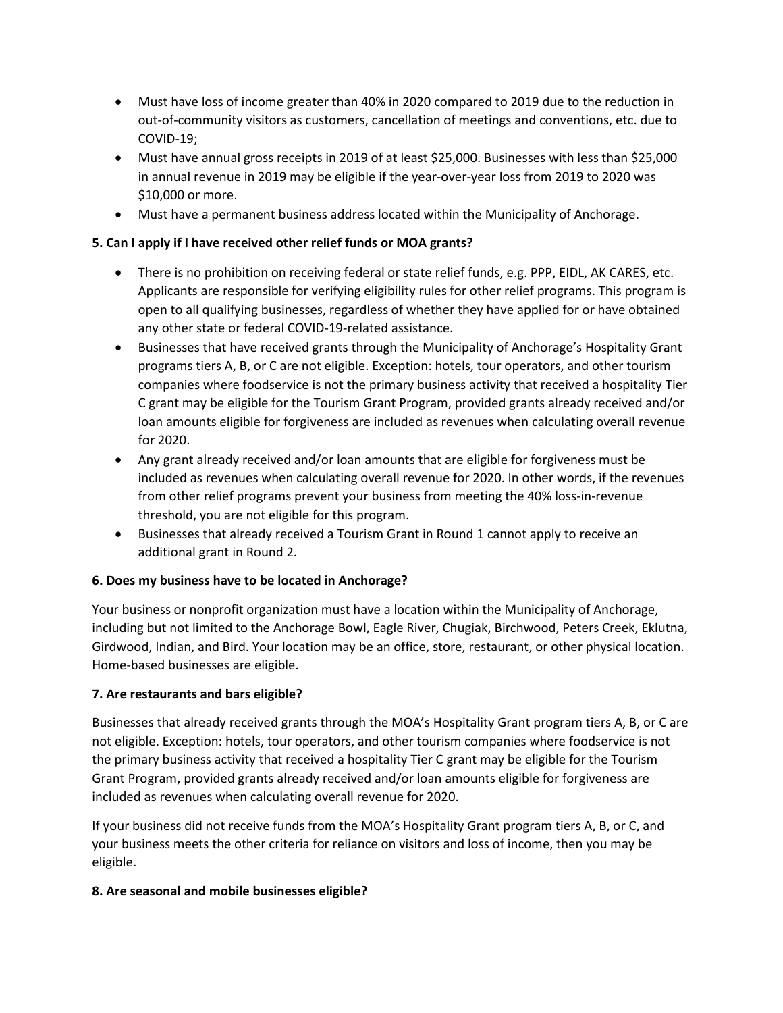- Must have loss of income greater than 40% in 2020 compared to 2019 due to the reduction in out-of-community visitors as customers, cancellation of meetings and conventions, etc. due to COVID-19;
- Must have annual gross receipts in 2019 of at least \$25,000. Businesses with less than \$25,000 in annual revenue in 2019 may be eligible if the year-over-year loss from 2019 to 2020 was \$10,000 or more.
- Must have a permanent business address located within the Municipality of Anchorage.

# **5. Can I apply if I have received other relief funds or MOA grants?**

- There is no prohibition on receiving federal or state relief funds, e.g. PPP, EIDL, AK CARES, etc. Applicants are responsible for verifying eligibility rules for other relief programs. This program is open to all qualifying businesses, regardless of whether they have applied for or have obtained any other state or federal COVID-19-related assistance.
- Businesses that have received grants through the Municipality of Anchorage's Hospitality Grant programs tiers A, B, or C are not eligible. Exception: hotels, tour operators, and other tourism companies where foodservice is not the primary business activity that received a hospitality Tier C grant may be eligible for the Tourism Grant Program, provided grants already received and/or loan amounts eligible for forgiveness are included as revenues when calculating overall revenue for 2020.
- Any grant already received and/or loan amounts that are eligible for forgiveness must be included as revenues when calculating overall revenue for 2020. In other words, if the revenues from other relief programs prevent your business from meeting the 40% loss-in-revenue threshold, you are not eligible for this program.
- Businesses that already received a Tourism Grant in Round 1 cannot apply to receive an additional grant in Round 2.

# **6. Does my business have to be located in Anchorage?**

Your business or nonprofit organization must have a location within the Municipality of Anchorage, including but not limited to the Anchorage Bowl, Eagle River, Chugiak, Birchwood, Peters Creek, Eklutna, Girdwood, Indian, and Bird. Your location may be an office, store, restaurant, or other physical location. Home-based businesses are eligible.

#### **7. Are restaurants and bars eligible?**

Businesses that already received grants through the MOA's Hospitality Grant program tiers A, B, or C are not eligible. Exception: hotels, tour operators, and other tourism companies where foodservice is not the primary business activity that received a hospitality Tier C grant may be eligible for the Tourism Grant Program, provided grants already received and/or loan amounts eligible for forgiveness are included as revenues when calculating overall revenue for 2020.

If your business did not receive funds from the MOA's Hospitality Grant program tiers A, B, or C, and your business meets the other criteria for reliance on visitors and loss of income, then you may be eligible.

#### **8. Are seasonal and mobile businesses eligible?**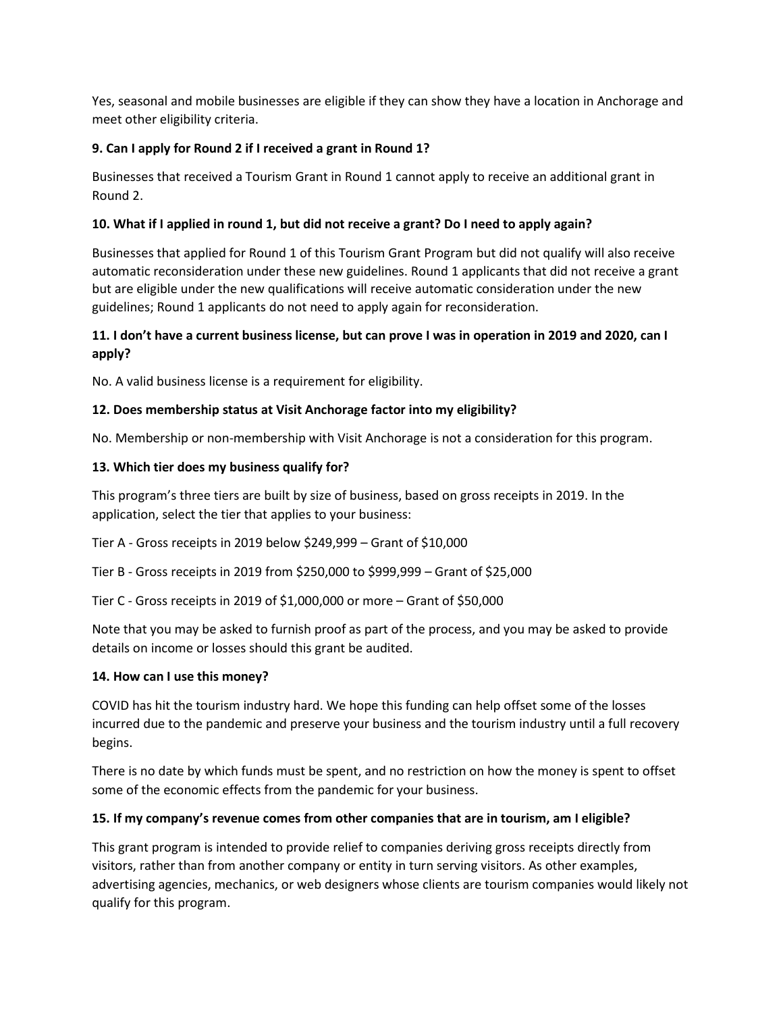Yes, seasonal and mobile businesses are eligible if they can show they have a location in Anchorage and meet other eligibility criteria.

## **9. Can I apply for Round 2 if I received a grant in Round 1?**

Businesses that received a Tourism Grant in Round 1 cannot apply to receive an additional grant in Round 2.

## **10. What if I applied in round 1, but did not receive a grant? Do I need to apply again?**

Businesses that applied for Round 1 of this Tourism Grant Program but did not qualify will also receive automatic reconsideration under these new guidelines. Round 1 applicants that did not receive a grant but are eligible under the new qualifications will receive automatic consideration under the new guidelines; Round 1 applicants do not need to apply again for reconsideration.

# **11. I don't have a current business license, but can prove I was in operation in 2019 and 2020, can I apply?**

No. A valid business license is a requirement for eligibility.

## **12. Does membership status at Visit Anchorage factor into my eligibility?**

No. Membership or non-membership with Visit Anchorage is not a consideration for this program.

## **13. Which tier does my business qualify for?**

This program's three tiers are built by size of business, based on gross receipts in 2019. In the application, select the tier that applies to your business:

Tier A - Gross receipts in 2019 below \$249,999 – Grant of \$10,000

Tier B - Gross receipts in 2019 from \$250,000 to \$999,999 – Grant of \$25,000

Tier C - Gross receipts in 2019 of \$1,000,000 or more – Grant of \$50,000

Note that you may be asked to furnish proof as part of the process, and you may be asked to provide details on income or losses should this grant be audited.

#### **14. How can I use this money?**

COVID has hit the tourism industry hard. We hope this funding can help offset some of the losses incurred due to the pandemic and preserve your business and the tourism industry until a full recovery begins.

There is no date by which funds must be spent, and no restriction on how the money is spent to offset some of the economic effects from the pandemic for your business.

#### **15. If my company's revenue comes from other companies that are in tourism, am I eligible?**

This grant program is intended to provide relief to companies deriving gross receipts directly from visitors, rather than from another company or entity in turn serving visitors. As other examples, advertising agencies, mechanics, or web designers whose clients are tourism companies would likely not qualify for this program.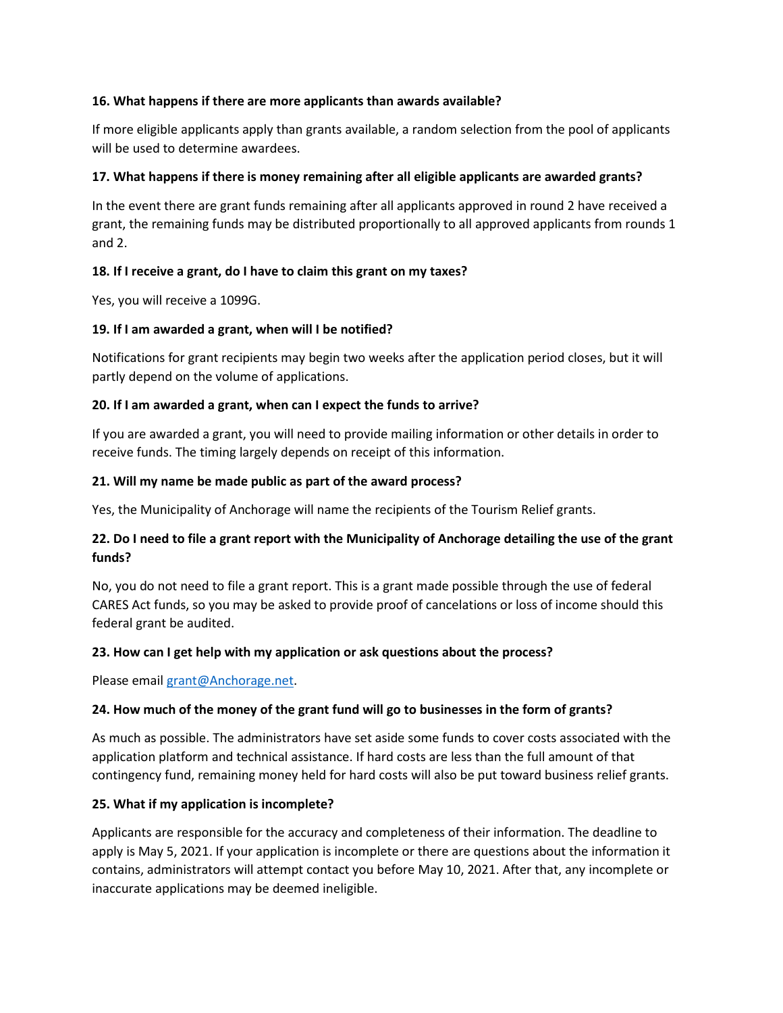#### **16. What happens if there are more applicants than awards available?**

If more eligible applicants apply than grants available, a random selection from the pool of applicants will be used to determine awardees.

## **17. What happens if there is money remaining after all eligible applicants are awarded grants?**

In the event there are grant funds remaining after all applicants approved in round 2 have received a grant, the remaining funds may be distributed proportionally to all approved applicants from rounds 1 and 2.

## **18. If I receive a grant, do I have to claim this grant on my taxes?**

Yes, you will receive a 1099G.

## **19. If I am awarded a grant, when will I be notified?**

Notifications for grant recipients may begin two weeks after the application period closes, but it will partly depend on the volume of applications.

## **20. If I am awarded a grant, when can I expect the funds to arrive?**

If you are awarded a grant, you will need to provide mailing information or other details in order to receive funds. The timing largely depends on receipt of this information.

## **21. Will my name be made public as part of the award process?**

Yes, the Municipality of Anchorage will name the recipients of the Tourism Relief grants.

# **22. Do I need to file a grant report with the Municipality of Anchorage detailing the use of the grant funds?**

No, you do not need to file a grant report. This is a grant made possible through the use of federal CARES Act funds, so you may be asked to provide proof of cancelations or loss of income should this federal grant be audited.

# **23. How can I get help with my application or ask questions about the process?**

Please email [grant@Anchorage.net.](mailto:grant@Anchorage.net)

#### **24. How much of the money of the grant fund will go to businesses in the form of grants?**

As much as possible. The administrators have set aside some funds to cover costs associated with the application platform and technical assistance. If hard costs are less than the full amount of that contingency fund, remaining money held for hard costs will also be put toward business relief grants.

#### **25. What if my application is incomplete?**

Applicants are responsible for the accuracy and completeness of their information. The deadline to apply is May 5, 2021. If your application is incomplete or there are questions about the information it contains, administrators will attempt contact you before May 10, 2021. After that, any incomplete or inaccurate applications may be deemed ineligible.